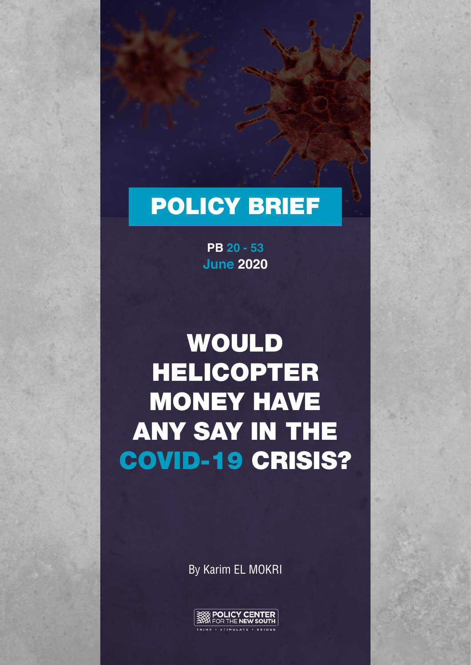## POLICY BRIEF

**June 2020 PB 20 - 53**

# WOULD HELICOPTER MONEY HAVE ANY SAY IN THE COVID-19 CRISIS?

By Karim EL MOKRI

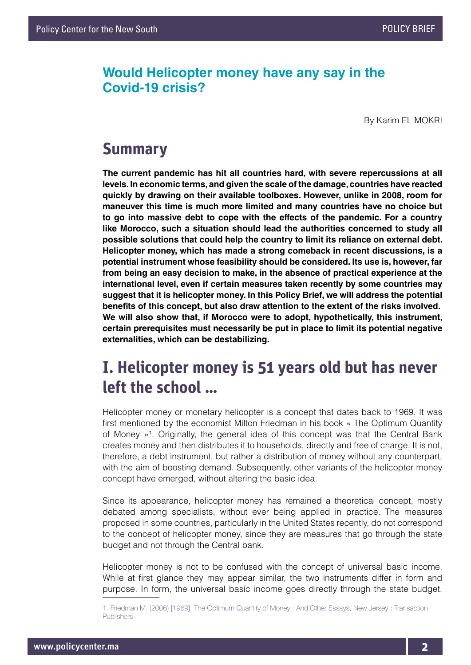#### **Would Helicopter money have any say in the Covid-19 crisis?**

By Karim EL MOKRI

#### **Summary**

**The current pandemic has hit all countries hard, with severe repercussions at all levels. In economic terms, and given the scale of the damage, countries have reacted quickly by drawing on their available toolboxes. However, unlike in 2008, room for maneuver this time is much more limited and many countries have no choice but to go into massive debt to cope with the effects of the pandemic. For a country like Morocco, such a situation should lead the authorities concerned to study all possible solutions that could help the country to limit its reliance on external debt. Helicopter money, which has made a strong comeback in recent discussions, is a potential instrument whose feasibility should be considered. Its use is, however, far from being an easy decision to make, in the absence of practical experience at the international level, even if certain measures taken recently by some countries may suggest that it is helicopter money. In this Policy Brief, we will address the potential benefits of this concept, but also draw attention to the extent of the risks involved. We will also show that, if Morocco were to adopt, hypothetically, this instrument, certain prerequisites must necessarily be put in place to limit its potential negative externalities, which can be destabilizing.**

#### **I. Helicopter money is 51 years old but has never left the school …**

Helicopter money or monetary helicopter is a concept that dates back to 1969. It was first mentioned by the economist Milton Friedman in his book « The Optimum Quantity of Money »1 . Originally, the general idea of this concept was that the Central Bank creates money and then distributes it to households, directly and free of charge. It is not, therefore, a debt instrument, but rather a distribution of money without any counterpart, with the aim of boosting demand. Subsequently, other variants of the helicopter money concept have emerged, without altering the basic idea.

Since its appearance, helicopter money has remained a theoretical concept, mostly debated among specialists, without ever being applied in practice. The measures proposed in some countries, particularly in the United States recently, do not correspond to the concept of helicopter money, since they are measures that go through the state budget and not through the Central bank.

Helicopter money is not to be confused with the concept of universal basic income. While at first glance they may appear similar, the two instruments differ in form and purpose. In form, the universal basic income goes directly through the state budget,

<sup>1.</sup> Friedman M. (2006) [1969], The Optimum Quantity of Money : And Other Essays, New Jersey : Transaction Publishers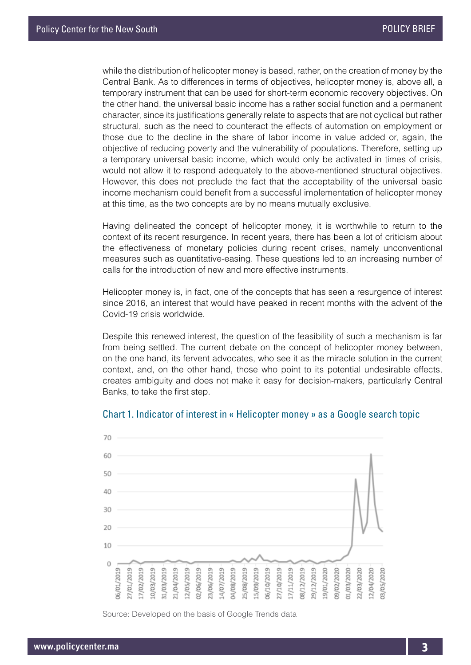while the distribution of helicopter money is based, rather, on the creation of money by the Central Bank. As to differences in terms of objectives, helicopter money is, above all, a temporary instrument that can be used for short-term economic recovery objectives. On the other hand, the universal basic income has a rather social function and a permanent character, since its justifications generally relate to aspects that are not cyclical but rather structural, such as the need to counteract the effects of automation on employment or those due to the decline in the share of labor income in value added or, again, the objective of reducing poverty and the vulnerability of populations. Therefore, setting up a temporary universal basic income, which would only be activated in times of crisis, would not allow it to respond adequately to the above-mentioned structural objectives. However, this does not preclude the fact that the acceptability of the universal basic income mechanism could benefit from a successful implementation of helicopter money at this time, as the two concepts are by no means mutually exclusive.

Having delineated the concept of helicopter money, it is worthwhile to return to the context of its recent resurgence. In recent years, there has been a lot of criticism about the effectiveness of monetary policies during recent crises, namely unconventional measures such as quantitative-easing. These questions led to an increasing number of calls for the introduction of new and more effective instruments.

Helicopter money is, in fact, one of the concepts that has seen a resurgence of interest since 2016, an interest that would have peaked in recent months with the advent of the Covid-19 crisis worldwide.

Despite this renewed interest, the question of the feasibility of such a mechanism is far from being settled. The current debate on the concept of helicopter money between, on the one hand, its fervent advocates, who see it as the miracle solution in the current context, and, on the other hand, those who point to its potential undesirable effects, creates ambiguity and does not make it easy for decision-makers, particularly Central Banks, to take the first step.



#### Chart 1. Indicator of interest in « Helicopter money » as a Google search topic

Source: Developed on the basis of Google Trends data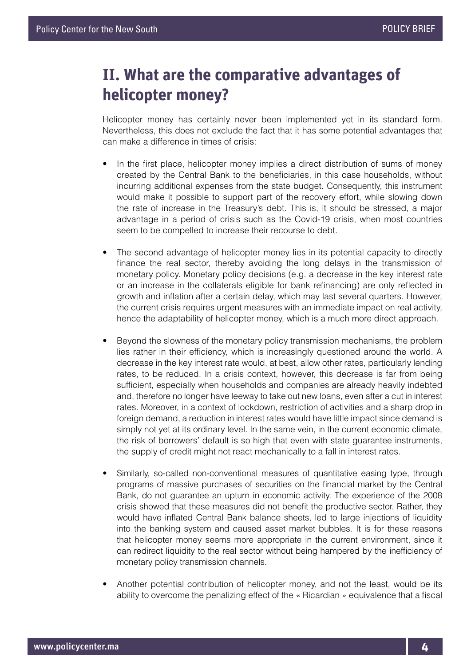### **II. What are the comparative advantages of helicopter money?**

Helicopter money has certainly never been implemented yet in its standard form. Nevertheless, this does not exclude the fact that it has some potential advantages that can make a difference in times of crisis:

- In the first place, helicopter money implies a direct distribution of sums of money created by the Central Bank to the beneficiaries, in this case households, without incurring additional expenses from the state budget. Consequently, this instrument would make it possible to support part of the recovery effort, while slowing down the rate of increase in the Treasury's debt. This is, it should be stressed, a major advantage in a period of crisis such as the Covid-19 crisis, when most countries seem to be compelled to increase their recourse to debt.
- The second advantage of helicopter money lies in its potential capacity to directly finance the real sector, thereby avoiding the long delays in the transmission of monetary policy. Monetary policy decisions (e.g. a decrease in the key interest rate or an increase in the collaterals eligible for bank refinancing) are only reflected in growth and inflation after a certain delay, which may last several quarters. However, the current crisis requires urgent measures with an immediate impact on real activity, hence the adaptability of helicopter money, which is a much more direct approach.
- Beyond the slowness of the monetary policy transmission mechanisms, the problem lies rather in their efficiency, which is increasingly questioned around the world. A decrease in the key interest rate would, at best, allow other rates, particularly lending rates, to be reduced. In a crisis context, however, this decrease is far from being sufficient, especially when households and companies are already heavily indebted and, therefore no longer have leeway to take out new loans, even after a cut in interest rates. Moreover, in a context of lockdown, restriction of activities and a sharp drop in foreign demand, a reduction in interest rates would have little impact since demand is simply not yet at its ordinary level. In the same vein, in the current economic climate, the risk of borrowers' default is so high that even with state guarantee instruments, the supply of credit might not react mechanically to a fall in interest rates.
- Similarly, so-called non-conventional measures of quantitative easing type, through programs of massive purchases of securities on the financial market by the Central Bank, do not guarantee an upturn in economic activity. The experience of the 2008 crisis showed that these measures did not benefit the productive sector. Rather, they would have inflated Central Bank balance sheets, led to large injections of liquidity into the banking system and caused asset market bubbles. It is for these reasons that helicopter money seems more appropriate in the current environment, since it can redirect liquidity to the real sector without being hampered by the inefficiency of monetary policy transmission channels.
- Another potential contribution of helicopter money, and not the least, would be its ability to overcome the penalizing effect of the « Ricardian » equivalence that a fiscal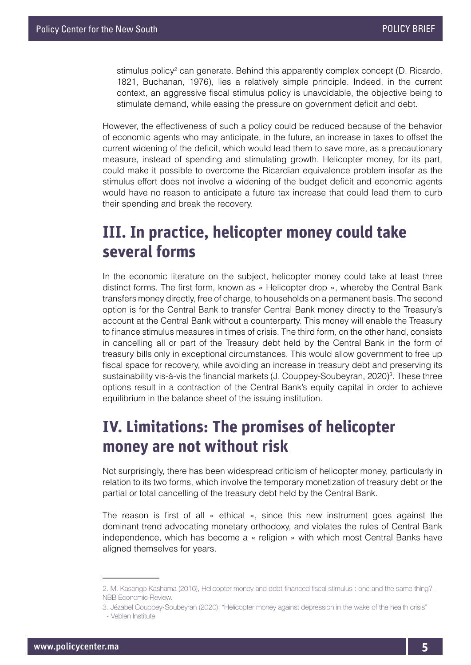stimulus policy<sup>2</sup> can generate. Behind this apparently complex concept (D. Ricardo, 1821, Buchanan, 1976), lies a relatively simple principle. Indeed, in the current context, an aggressive fiscal stimulus policy is unavoidable, the objective being to stimulate demand, while easing the pressure on government deficit and debt.

However, the effectiveness of such a policy could be reduced because of the behavior of economic agents who may anticipate, in the future, an increase in taxes to offset the current widening of the deficit, which would lead them to save more, as a precautionary measure, instead of spending and stimulating growth. Helicopter money, for its part, could make it possible to overcome the Ricardian equivalence problem insofar as the stimulus effort does not involve a widening of the budget deficit and economic agents would have no reason to anticipate a future tax increase that could lead them to curb their spending and break the recovery.

### **III. In practice, helicopter money could take several forms**

In the economic literature on the subject, helicopter money could take at least three distinct forms. The first form, known as « Helicopter drop », whereby the Central Bank transfers money directly, free of charge, to households on a permanent basis. The second option is for the Central Bank to transfer Central Bank money directly to the Treasury's account at the Central Bank without a counterparty. This money will enable the Treasury to finance stimulus measures in times of crisis. The third form, on the other hand, consists in cancelling all or part of the Treasury debt held by the Central Bank in the form of treasury bills only in exceptional circumstances. This would allow government to free up fiscal space for recovery, while avoiding an increase in treasury debt and preserving its sustainability vis-à-vis the financial markets (J. Couppey-Soubeyran, 2020)<sup>3</sup>. These three options result in a contraction of the Central Bank's equity capital in order to achieve equilibrium in the balance sheet of the issuing institution.

### **IV. Limitations: The promises of helicopter money are not without risk**

Not surprisingly, there has been widespread criticism of helicopter money, particularly in relation to its two forms, which involve the temporary monetization of treasury debt or the partial or total cancelling of the treasury debt held by the Central Bank.

The reason is first of all « ethical », since this new instrument goes against the dominant trend advocating monetary orthodoxy, and violates the rules of Central Bank independence, which has become a « religion » with which most Central Banks have aligned themselves for years.

<sup>2.</sup> M. Kasongo Kashama (2016), Helicopter money and debt-financed fiscal stimulus : one and the same thing? - NBB Economic Review.

<sup>3.</sup> Jézabel Couppey-Soubeyran (2020), "Helicopter money against depression in the wake of the health crisis" - Veblen Institute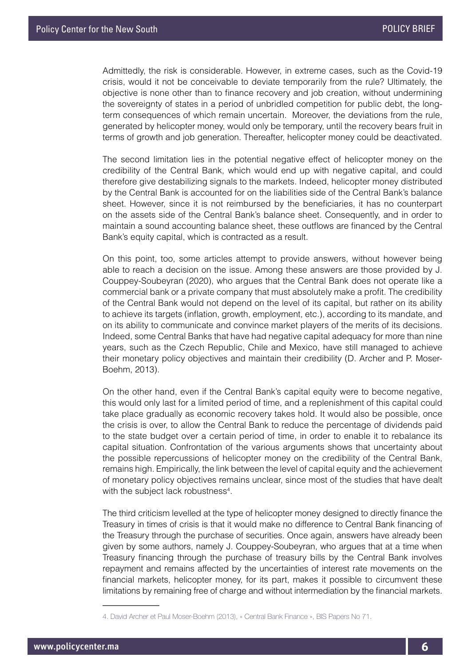Admittedly, the risk is considerable. However, in extreme cases, such as the Covid-19 crisis, would it not be conceivable to deviate temporarily from the rule? Ultimately, the objective is none other than to finance recovery and job creation, without undermining the sovereignty of states in a period of unbridled competition for public debt, the longterm consequences of which remain uncertain. Moreover, the deviations from the rule, generated by helicopter money, would only be temporary, until the recovery bears fruit in terms of growth and job generation. Thereafter, helicopter money could be deactivated.

The second limitation lies in the potential negative effect of helicopter money on the credibility of the Central Bank, which would end up with negative capital, and could therefore give destabilizing signals to the markets. Indeed, helicopter money distributed by the Central Bank is accounted for on the liabilities side of the Central Bank's balance sheet. However, since it is not reimbursed by the beneficiaries, it has no counterpart on the assets side of the Central Bank's balance sheet. Consequently, and in order to maintain a sound accounting balance sheet, these outflows are financed by the Central Bank's equity capital, which is contracted as a result.

On this point, too, some articles attempt to provide answers, without however being able to reach a decision on the issue. Among these answers are those provided by J. Couppey-Soubeyran (2020), who argues that the Central Bank does not operate like a commercial bank or a private company that must absolutely make a profit. The credibility of the Central Bank would not depend on the level of its capital, but rather on its ability to achieve its targets (inflation, growth, employment, etc.), according to its mandate, and on its ability to communicate and convince market players of the merits of its decisions. Indeed, some Central Banks that have had negative capital adequacy for more than nine years, such as the Czech Republic, Chile and Mexico, have still managed to achieve their monetary policy objectives and maintain their credibility (D. Archer and P. Moser-Boehm, 2013).

On the other hand, even if the Central Bank's capital equity were to become negative, this would only last for a limited period of time, and a replenishment of this capital could take place gradually as economic recovery takes hold. It would also be possible, once the crisis is over, to allow the Central Bank to reduce the percentage of dividends paid to the state budget over a certain period of time, in order to enable it to rebalance its capital situation. Confrontation of the various arguments shows that uncertainty about the possible repercussions of helicopter money on the credibility of the Central Bank, remains high. Empirically, the link between the level of capital equity and the achievement of monetary policy objectives remains unclear, since most of the studies that have dealt with the subject lack robustness<sup>4</sup>.

The third criticism levelled at the type of helicopter money designed to directly finance the Treasury in times of crisis is that it would make no difference to Central Bank financing of the Treasury through the purchase of securities. Once again, answers have already been given by some authors, namely J. Couppey-Soubeyran, who argues that at a time when Treasury financing through the purchase of treasury bills by the Central Bank involves repayment and remains affected by the uncertainties of interest rate movements on the financial markets, helicopter money, for its part, makes it possible to circumvent these limitations by remaining free of charge and without intermediation by the financial markets.

<sup>4.</sup> David Archer et Paul Moser-Boehm (2013), « Central Bank Finance », BIS Papers No 71.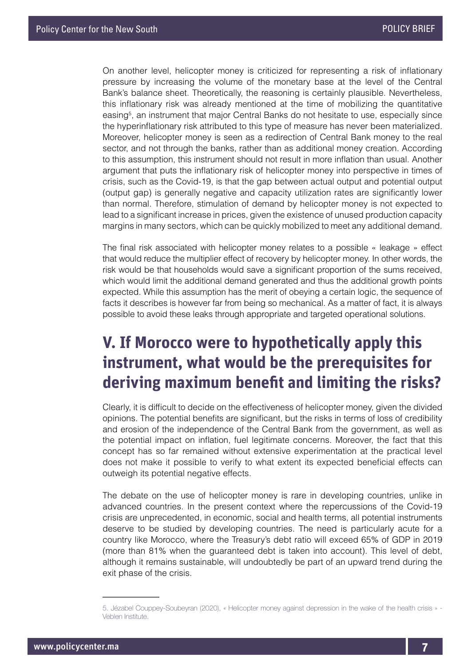On another level, helicopter money is criticized for representing a risk of inflationary pressure by increasing the volume of the monetary base at the level of the Central Bank's balance sheet. Theoretically, the reasoning is certainly plausible. Nevertheless, this inflationary risk was already mentioned at the time of mobilizing the quantitative easing<sup>5</sup>, an instrument that major Central Banks do not hesitate to use, especially since the hyperinflationary risk attributed to this type of measure has never been materialized. Moreover, helicopter money is seen as a redirection of Central Bank money to the real sector, and not through the banks, rather than as additional money creation. According to this assumption, this instrument should not result in more inflation than usual. Another argument that puts the inflationary risk of helicopter money into perspective in times of crisis, such as the Covid-19, is that the gap between actual output and potential output (output gap) is generally negative and capacity utilization rates are significantly lower than normal. Therefore, stimulation of demand by helicopter money is not expected to lead to a significant increase in prices, given the existence of unused production capacity margins in many sectors, which can be quickly mobilized to meet any additional demand.

The final risk associated with helicopter money relates to a possible « leakage » effect that would reduce the multiplier effect of recovery by helicopter money. In other words, the risk would be that households would save a significant proportion of the sums received, which would limit the additional demand generated and thus the additional growth points expected. While this assumption has the merit of obeying a certain logic, the sequence of facts it describes is however far from being so mechanical. As a matter of fact, it is always possible to avoid these leaks through appropriate and targeted operational solutions.

### **V. If Morocco were to hypothetically apply this instrument, what would be the prerequisites for deriving maximum benefit and limiting the risks?**

Clearly, it is difficult to decide on the effectiveness of helicopter money, given the divided opinions. The potential benefits are significant, but the risks in terms of loss of credibility and erosion of the independence of the Central Bank from the government, as well as the potential impact on inflation, fuel legitimate concerns. Moreover, the fact that this concept has so far remained without extensive experimentation at the practical level does not make it possible to verify to what extent its expected beneficial effects can outweigh its potential negative effects.

The debate on the use of helicopter money is rare in developing countries, unlike in advanced countries. In the present context where the repercussions of the Covid-19 crisis are unprecedented, in economic, social and health terms, all potential instruments deserve to be studied by developing countries. The need is particularly acute for a country like Morocco, where the Treasury's debt ratio will exceed 65% of GDP in 2019 (more than 81% when the guaranteed debt is taken into account). This level of debt, although it remains sustainable, will undoubtedly be part of an upward trend during the exit phase of the crisis.

<sup>5.</sup> Jézabel Couppey-Soubeyran (2020), « Helicopter money against depression in the wake of the health crisis » - Veblen Institute.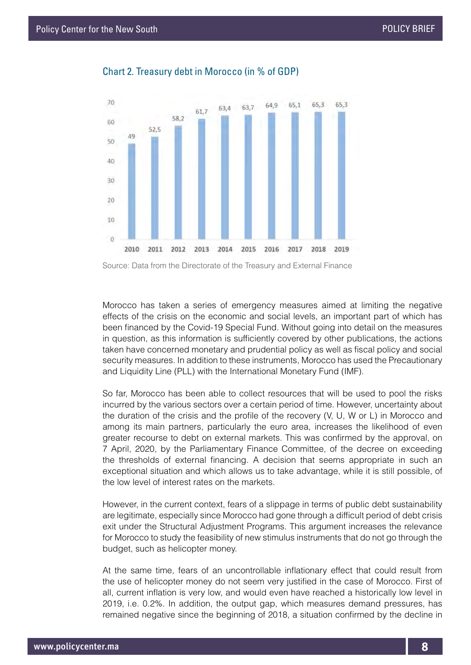

#### Chart 2. Treasury debt in Morocco (in % of GDP)

Source: Data from the Directorate of the Treasury and External Finance

Morocco has taken a series of emergency measures aimed at limiting the negative effects of the crisis on the economic and social levels, an important part of which has been financed by the Covid-19 Special Fund. Without going into detail on the measures in question, as this information is sufficiently covered by other publications, the actions taken have concerned monetary and prudential policy as well as fiscal policy and social security measures. In addition to these instruments, Morocco has used the Precautionary and Liquidity Line (PLL) with the International Monetary Fund (IMF).

So far, Morocco has been able to collect resources that will be used to pool the risks incurred by the various sectors over a certain period of time. However, uncertainty about the duration of the crisis and the profile of the recovery (V, U, W or L) in Morocco and among its main partners, particularly the euro area, increases the likelihood of even greater recourse to debt on external markets. This was confirmed by the approval, on 7 April, 2020, by the Parliamentary Finance Committee, of the decree on exceeding the thresholds of external financing. A decision that seems appropriate in such an exceptional situation and which allows us to take advantage, while it is still possible, of the low level of interest rates on the markets.

However, in the current context, fears of a slippage in terms of public debt sustainability are legitimate, especially since Morocco had gone through a difficult period of debt crisis exit under the Structural Adjustment Programs. This argument increases the relevance for Morocco to study the feasibility of new stimulus instruments that do not go through the budget, such as helicopter money.

At the same time, fears of an uncontrollable inflationary effect that could result from the use of helicopter money do not seem very justified in the case of Morocco. First of all, current inflation is very low, and would even have reached a historically low level in 2019, i.e. 0.2%. In addition, the output gap, which measures demand pressures, has remained negative since the beginning of 2018, a situation confirmed by the decline in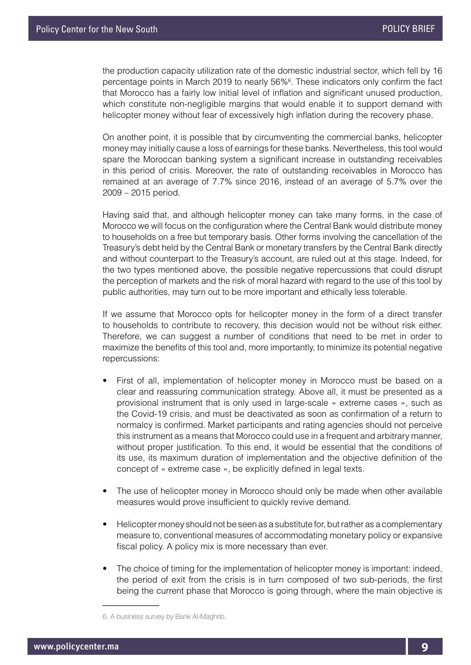the production capacity utilization rate of the domestic industrial sector, which fell by 16 percentage points in March 2019 to nearly 56%<sup>6</sup>. These indicators only confirm the fact that Morocco has a fairly low initial level of inflation and significant unused production, which constitute non-negligible margins that would enable it to support demand with helicopter money without fear of excessively high inflation during the recovery phase.

On another point, it is possible that by circumventing the commercial banks, helicopter money may initially cause a loss of earnings for these banks. Nevertheless, this tool would spare the Moroccan banking system a significant increase in outstanding receivables in this period of crisis. Moreover, the rate of outstanding receivables in Morocco has remained at an average of 7.7% since 2016, instead of an average of 5.7% over the 2009 – 2015 period.

Having said that, and although helicopter money can take many forms, in the case of Morocco we will focus on the configuration where the Central Bank would distribute money to households on a free but temporary basis. Other forms involving the cancellation of the Treasury's debt held by the Central Bank or monetary transfers by the Central Bank directly and without counterpart to the Treasury's account, are ruled out at this stage. Indeed, for the two types mentioned above, the possible negative repercussions that could disrupt the perception of markets and the risk of moral hazard with regard to the use of this tool by public authorities, may turn out to be more important and ethically less tolerable.

If we assume that Morocco opts for helicopter money in the form of a direct transfer to households to contribute to recovery, this decision would not be without risk either. Therefore, we can suggest a number of conditions that need to be met in order to maximize the benefits of this tool and, more importantly, to minimize its potential negative repercussions:

- First of all, implementation of helicopter money in Morocco must be based on a clear and reassuring communication strategy. Above all, it must be presented as a provisional instrument that is only used in large-scale « extreme cases », such as the Covid-19 crisis, and must be deactivated as soon as confirmation of a return to normalcy is confirmed. Market participants and rating agencies should not perceive this instrument as a means that Morocco could use in a frequent and arbitrary manner, without proper justification. To this end, it would be essential that the conditions of its use, its maximum duration of implementation and the objective definition of the concept of « extreme case », be explicitly defined in legal texts.
- The use of helicopter money in Morocco should only be made when other available measures would prove insufficient to quickly revive demand.
- Helicopter money should not be seen as a substitute for, but rather as a complementary measure to, conventional measures of accommodating monetary policy or expansive fiscal policy. A policy mix is more necessary than ever.
- The choice of timing for the implementation of helicopter money is important: indeed, the period of exit from the crisis is in turn composed of two sub-periods, the first being the current phase that Morocco is going through, where the main objective is

<sup>6.</sup> A business survey by Bank Al-Maghrib.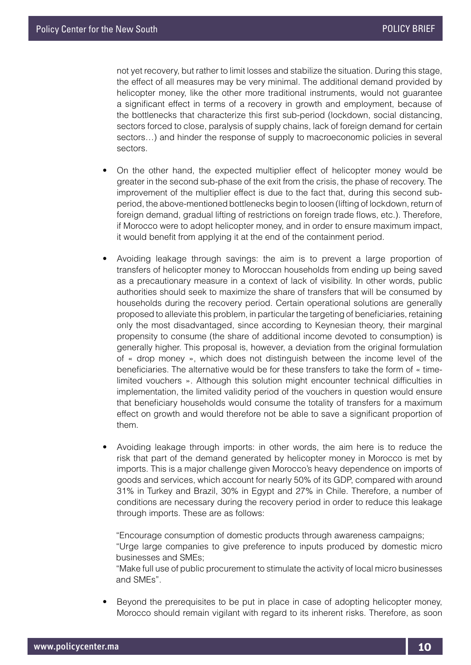not yet recovery, but rather to limit losses and stabilize the situation. During this stage, the effect of all measures may be very minimal. The additional demand provided by helicopter money, like the other more traditional instruments, would not guarantee a significant effect in terms of a recovery in growth and employment, because of the bottlenecks that characterize this first sub-period (lockdown, social distancing, sectors forced to close, paralysis of supply chains, lack of foreign demand for certain sectors…) and hinder the response of supply to macroeconomic policies in several sectors.

- On the other hand, the expected multiplier effect of helicopter money would be greater in the second sub-phase of the exit from the crisis, the phase of recovery. The improvement of the multiplier effect is due to the fact that, during this second subperiod, the above-mentioned bottlenecks begin to loosen (lifting of lockdown, return of foreign demand, gradual lifting of restrictions on foreign trade flows, etc.). Therefore, if Morocco were to adopt helicopter money, and in order to ensure maximum impact, it would benefit from applying it at the end of the containment period.
- Avoiding leakage through savings: the aim is to prevent a large proportion of transfers of helicopter money to Moroccan households from ending up being saved as a precautionary measure in a context of lack of visibility. In other words, public authorities should seek to maximize the share of transfers that will be consumed by households during the recovery period. Certain operational solutions are generally proposed to alleviate this problem, in particular the targeting of beneficiaries, retaining only the most disadvantaged, since according to Keynesian theory, their marginal propensity to consume (the share of additional income devoted to consumption) is generally higher. This proposal is, however, a deviation from the original formulation of « drop money », which does not distinguish between the income level of the beneficiaries. The alternative would be for these transfers to take the form of « timelimited vouchers ». Although this solution might encounter technical difficulties in implementation, the limited validity period of the vouchers in question would ensure that beneficiary households would consume the totality of transfers for a maximum effect on growth and would therefore not be able to save a significant proportion of them.
- Avoiding leakage through imports: in other words, the aim here is to reduce the risk that part of the demand generated by helicopter money in Morocco is met by imports. This is a major challenge given Morocco's heavy dependence on imports of goods and services, which account for nearly 50% of its GDP, compared with around 31% in Turkey and Brazil, 30% in Egypt and 27% in Chile. Therefore, a number of conditions are necessary during the recovery period in order to reduce this leakage through imports. These are as follows:

"Encourage consumption of domestic products through awareness campaigns; "Urge large companies to give preference to inputs produced by domestic micro businesses and SMEs;

"Make full use of public procurement to stimulate the activity of local micro businesses and SMEs".

• Beyond the prerequisites to be put in place in case of adopting helicopter money, Morocco should remain vigilant with regard to its inherent risks. Therefore, as soon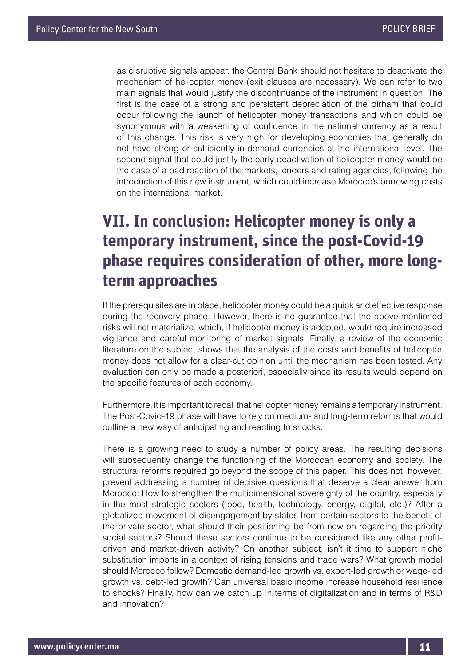as disruptive signals appear, the Central Bank should not hesitate to deactivate the mechanism of helicopter money (exit clauses are necessary). We can refer to two main signals that would justify the discontinuance of the instrument in question. The first is the case of a strong and persistent depreciation of the dirham that could occur following the launch of helicopter money transactions and which could be synonymous with a weakening of confidence in the national currency as a result of this change. This risk is very high for developing economies that generally do not have strong or sufficiently in-demand currencies at the international level. The second signal that could justify the early deactivation of helicopter money would be the case of a bad reaction of the markets, lenders and rating agencies, following the introduction of this new instrument, which could increase Morocco's borrowing costs on the international market.

### **VII. In conclusion: Helicopter money is only a temporary instrument, since the post-Covid-19 phase requires consideration of other, more longterm approaches**

If the prerequisites are in place, helicopter money could be a quick and effective response during the recovery phase. However, there is no guarantee that the above-mentioned risks will not materialize, which, if helicopter money is adopted, would require increased vigilance and careful monitoring of market signals. Finally, a review of the economic literature on the subject shows that the analysis of the costs and benefits of helicopter money does not allow for a clear-cut opinion until the mechanism has been tested. Any evaluation can only be made a posteriori, especially since its results would depend on the specific features of each economy.

Furthermore, it is important to recall that helicopter money remains a temporary instrument. The Post-Covid-19 phase will have to rely on medium- and long-term reforms that would outline a new way of anticipating and reacting to shocks.

There is a growing need to study a number of policy areas. The resulting decisions will subsequently change the functioning of the Moroccan economy and society. The structural reforms required go beyond the scope of this paper. This does not, however, prevent addressing a number of decisive questions that deserve a clear answer from Morocco: How to strengthen the multidimensional sovereignty of the country, especially in the most strategic sectors (food, health, technology, energy, digital, etc.)? After a globalized movement of disengagement by states from certain sectors to the benefit of the private sector, what should their positioning be from now on regarding the priority social sectors? Should these sectors continue to be considered like any other profitdriven and market-driven activity? On another subject, isn't it time to support niche substitution imports in a context of rising tensions and trade wars? What growth model should Morocco follow? Domestic demand-led growth vs. export-led growth or wage-led growth vs. debt-led growth? Can universal basic income increase household resilience to shocks? Finally, how can we catch up in terms of digitalization and in terms of R&D and innovation?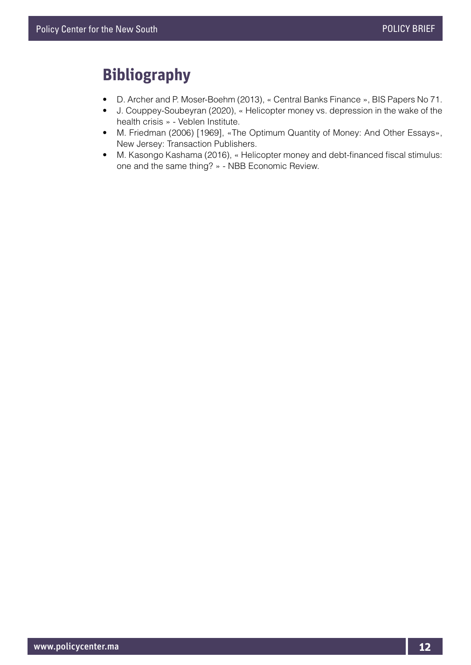#### **Bibliography**

- D. Archer and P. Moser-Boehm (2013), « Central Banks Finance », BIS Papers No 71.
- J. Couppey-Soubeyran (2020), « Helicopter money vs. depression in the wake of the health crisis » - Veblen Institute.
- M. Friedman (2006) [1969], «The Optimum Quantity of Money: And Other Essays», New Jersey: Transaction Publishers.
- M. Kasongo Kashama (2016), « Helicopter money and debt-financed fiscal stimulus: one and the same thing? » - NBB Economic Review.